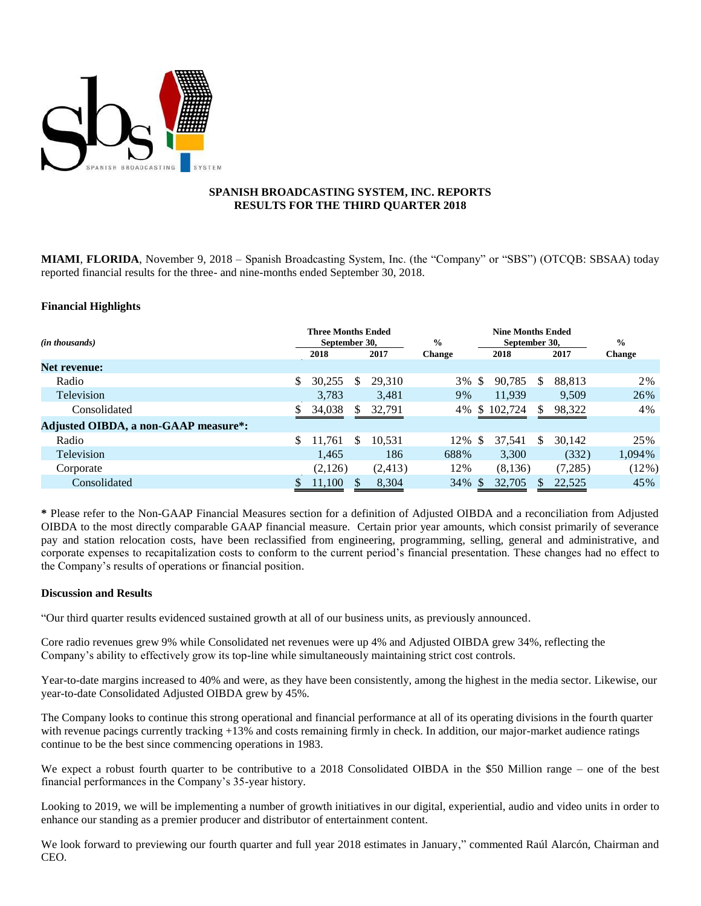

## **SPANISH BROADCASTING SYSTEM, INC. REPORTS RESULTS FOR THE THIRD QUARTER 2018**

**MIAMI**, **FLORIDA**, November 9, 2018 – Spanish Broadcasting System, Inc. (the "Company" or "SBS") (OTCQB: SBSAA) today reported financial results for the three- and nine-months ended September 30, 2018.

## **Financial Highlights**

| ( <i>in thousands</i> )              | <b>Three Months Ended</b><br>September 30. |         |    |          | $\frac{6}{9}$ |              | <b>Nine Months Ended</b><br>September 30. | $\frac{0}{0}$ |         |               |
|--------------------------------------|--------------------------------------------|---------|----|----------|---------------|--------------|-------------------------------------------|---------------|---------|---------------|
|                                      |                                            | 2018    |    | 2017     | <b>Change</b> |              | 2018                                      |               | 2017    | <b>Change</b> |
| <b>Net revenue:</b>                  |                                            |         |    |          |               |              |                                           |               |         |               |
| Radio                                |                                            | 30,255  | S  | 29,310   | 3%            | S.           | 90,785                                    | \$            | 88,813  | 2%            |
| Television                           |                                            | 3,783   |    | 3,481    | 9%            |              | 11,939                                    |               | 9,509   | 26%           |
| Consolidated                         |                                            | 34,038  | S  | 32,791   | 4%            | <sup>S</sup> | 102,724                                   | S             | 98,322  | 4%            |
| Adjusted OIBDA, a non-GAAP measure*: |                                            |         |    |          |               |              |                                           |               |         |               |
| Radio                                |                                            | 11,761  | \$ | 10,531   | 12%           | \$.          | 37.541                                    | \$            | 30,142  | 25%           |
| Television                           |                                            | 1,465   |    | 186      | 688%          |              | 3,300                                     |               | (332)   | 1,094%        |
| Corporate                            |                                            | (2,126) |    | (2, 413) | 12%           |              | (8,136)                                   |               | (7,285) | (12%)         |
| Consolidated                         |                                            | 11,100  |    | 8,304    | 34%           |              | 32,705                                    |               | 22,525  | 45%           |

**\*** Please refer to the Non-GAAP Financial Measures section for a definition of Adjusted OIBDA and a reconciliation from Adjusted OIBDA to the most directly comparable GAAP financial measure. Certain prior year amounts, which consist primarily of severance pay and station relocation costs, have been reclassified from engineering, programming, selling, general and administrative, and corporate expenses to recapitalization costs to conform to the current period's financial presentation. These changes had no effect to the Company's results of operations or financial position.

#### **Discussion and Results**

"Our third quarter results evidenced sustained growth at all of our business units, as previously announced.

Core radio revenues grew 9% while Consolidated net revenues were up 4% and Adjusted OIBDA grew 34%, reflecting the Company's ability to effectively grow its top-line while simultaneously maintaining strict cost controls.

Year-to-date margins increased to 40% and were, as they have been consistently, among the highest in the media sector. Likewise, our year-to-date Consolidated Adjusted OIBDA grew by 45%.

The Company looks to continue this strong operational and financial performance at all of its operating divisions in the fourth quarter with revenue pacings currently tracking +13% and costs remaining firmly in check. In addition, our major-market audience ratings continue to be the best since commencing operations in 1983.

We expect a robust fourth quarter to be contributive to a 2018 Consolidated OIBDA in the \$50 Million range – one of the best financial performances in the Company's 35-year history.

Looking to 2019, we will be implementing a number of growth initiatives in our digital, experiential, audio and video units in order to enhance our standing as a premier producer and distributor of entertainment content.

We look forward to previewing our fourth quarter and full year 2018 estimates in January," commented Raúl Alarcón, Chairman and CEO.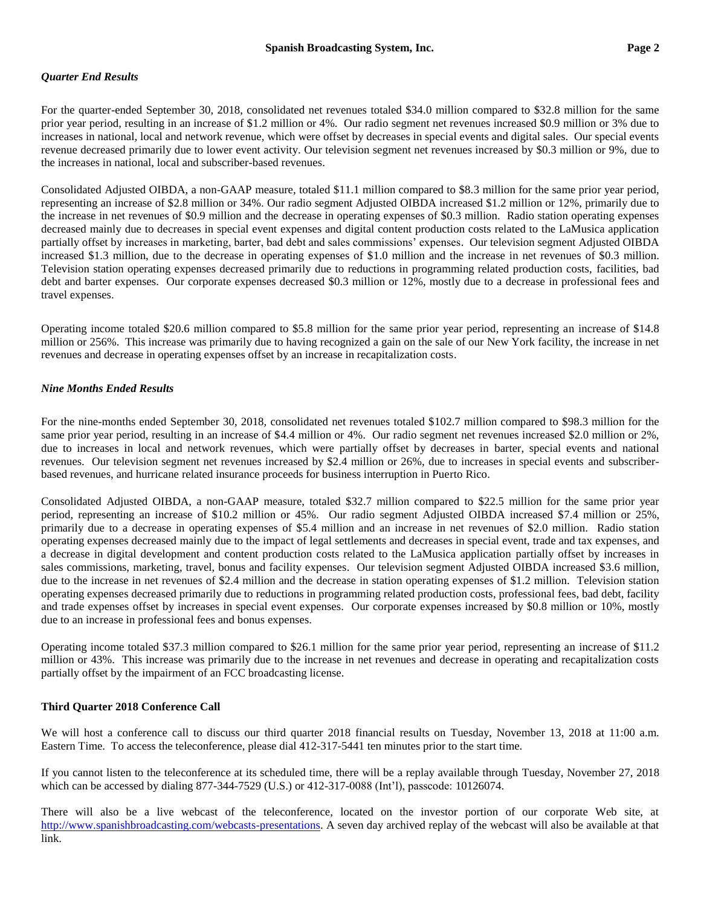# *Quarter End Results*

For the quarter-ended September 30, 2018, consolidated net revenues totaled \$34.0 million compared to \$32.8 million for the same prior year period, resulting in an increase of \$1.2 million or 4%. Our radio segment net revenues increased \$0.9 million or 3% due to increases in national, local and network revenue, which were offset by decreases in special events and digital sales. Our special events revenue decreased primarily due to lower event activity. Our television segment net revenues increased by \$0.3 million or 9%, due to the increases in national, local and subscriber-based revenues.

Consolidated Adjusted OIBDA, a non-GAAP measure, totaled \$11.1 million compared to \$8.3 million for the same prior year period, representing an increase of \$2.8 million or 34%. Our radio segment Adjusted OIBDA increased \$1.2 million or 12%, primarily due to the increase in net revenues of \$0.9 million and the decrease in operating expenses of \$0.3 million. Radio station operating expenses decreased mainly due to decreases in special event expenses and digital content production costs related to the LaMusica application partially offset by increases in marketing, barter, bad debt and sales commissions' expenses. Our television segment Adjusted OIBDA increased \$1.3 million, due to the decrease in operating expenses of \$1.0 million and the increase in net revenues of \$0.3 million. Television station operating expenses decreased primarily due to reductions in programming related production costs, facilities, bad debt and barter expenses. Our corporate expenses decreased \$0.3 million or 12%, mostly due to a decrease in professional fees and travel expenses.

Operating income totaled \$20.6 million compared to \$5.8 million for the same prior year period, representing an increase of \$14.8 million or 256%. This increase was primarily due to having recognized a gain on the sale of our New York facility, the increase in net revenues and decrease in operating expenses offset by an increase in recapitalization costs.

# *Nine Months Ended Results*

For the nine-months ended September 30, 2018, consolidated net revenues totaled \$102.7 million compared to \$98.3 million for the same prior year period, resulting in an increase of \$4.4 million or 4%. Our radio segment net revenues increased \$2.0 million or 2%, due to increases in local and network revenues, which were partially offset by decreases in barter, special events and national revenues. Our television segment net revenues increased by \$2.4 million or 26%, due to increases in special events and subscriberbased revenues, and hurricane related insurance proceeds for business interruption in Puerto Rico.

Consolidated Adjusted OIBDA, a non-GAAP measure, totaled \$32.7 million compared to \$22.5 million for the same prior year period, representing an increase of \$10.2 million or 45%. Our radio segment Adjusted OIBDA increased \$7.4 million or 25%, primarily due to a decrease in operating expenses of \$5.4 million and an increase in net revenues of \$2.0 million. Radio station operating expenses decreased mainly due to the impact of legal settlements and decreases in special event, trade and tax expenses, and a decrease in digital development and content production costs related to the LaMusica application partially offset by increases in sales commissions, marketing, travel, bonus and facility expenses. Our television segment Adjusted OIBDA increased \$3.6 million, due to the increase in net revenues of \$2.4 million and the decrease in station operating expenses of \$1.2 million. Television station operating expenses decreased primarily due to reductions in programming related production costs, professional fees, bad debt, facility and trade expenses offset by increases in special event expenses. Our corporate expenses increased by \$0.8 million or 10%, mostly due to an increase in professional fees and bonus expenses.

Operating income totaled \$37.3 million compared to \$26.1 million for the same prior year period, representing an increase of \$11.2 million or 43%. This increase was primarily due to the increase in net revenues and decrease in operating and recapitalization costs partially offset by the impairment of an FCC broadcasting license.

# **Third Quarter 2018 Conference Call**

We will host a conference call to discuss our third quarter 2018 financial results on Tuesday, November 13, 2018 at 11:00 a.m. Eastern Time. To access the teleconference, please dial 412-317-5441 ten minutes prior to the start time.

If you cannot listen to the teleconference at its scheduled time, there will be a replay available through Tuesday, November 27, 2018 which can be accessed by dialing 877-344-7529 (U.S.) or 412-317-0088 (Int'l), passcode: 10126074.

There will also be a live webcast of the teleconference, located on the investor portion of our corporate Web site, at [http://www.spanishbroadcasting.com/webcasts-presentations.](http://www.spanishbroadcasting.com/webcasts-presentations) A seven day archived replay of the webcast will also be available at that link.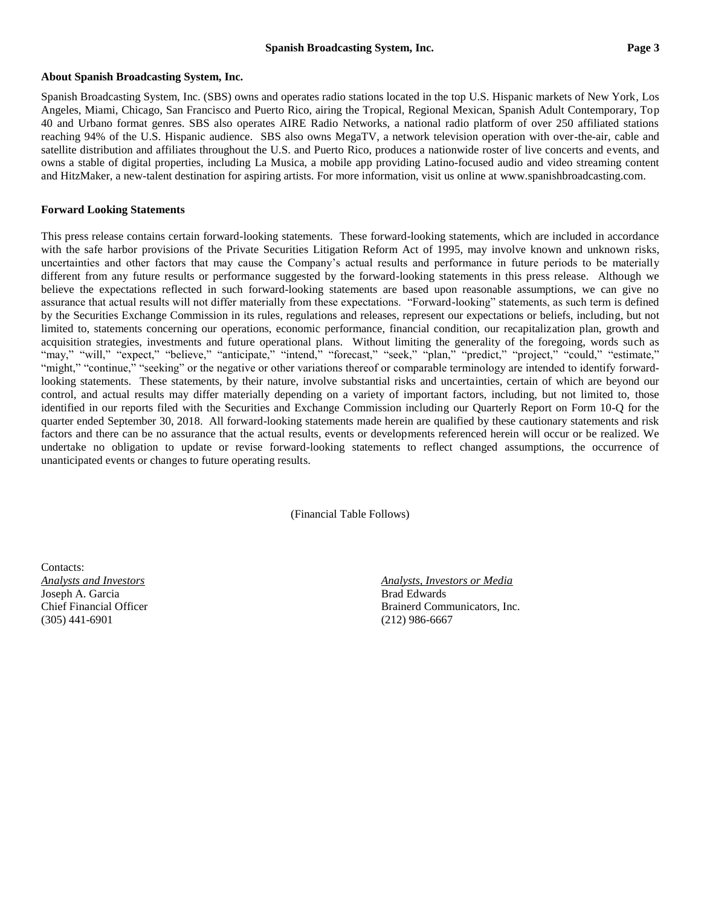#### **About Spanish Broadcasting System, Inc.**

Spanish Broadcasting System, Inc. (SBS) owns and operates radio stations located in the top U.S. Hispanic markets of New York, Los Angeles, Miami, Chicago, San Francisco and Puerto Rico, airing the Tropical, Regional Mexican, Spanish Adult Contemporary, Top 40 and Urbano format genres. SBS also operates AIRE Radio Networks, a national radio platform of over 250 affiliated stations reaching 94% of the U.S. Hispanic audience. SBS also owns MegaTV, a network television operation with over-the-air, cable and satellite distribution and affiliates throughout the U.S. and Puerto Rico, produces a nationwide roster of live concerts and events, and owns a stable of digital properties, including [La Musica,](http://www.lamusica.com/) a mobile app providing Latino-focused audio and video streaming content and HitzMaker, a new-talent destination for aspiring artists. For more information, visit us online at [www.spanishbroadcasting.com.](http://www.spanishbroadcasting.com/)

## **Forward Looking Statements**

This press release contains certain forward-looking statements. These forward-looking statements, which are included in accordance with the safe harbor provisions of the Private Securities Litigation Reform Act of 1995, may involve known and unknown risks, uncertainties and other factors that may cause the Company's actual results and performance in future periods to be materially different from any future results or performance suggested by the forward-looking statements in this press release. Although we believe the expectations reflected in such forward-looking statements are based upon reasonable assumptions, we can give no assurance that actual results will not differ materially from these expectations. "Forward-looking" statements, as such term is defined by the Securities Exchange Commission in its rules, regulations and releases, represent our expectations or beliefs, including, but not limited to, statements concerning our operations, economic performance, financial condition, our recapitalization plan, growth and acquisition strategies, investments and future operational plans. Without limiting the generality of the foregoing, words such as "may," "will," "expect," "believe," "anticipate," "intend," "forecast," "seek," "plan," "predict," "project," "could," "estimate," "might," "continue," "seeking" or the negative or other variations thereof or comparable terminology are intended to identify forwardlooking statements. These statements, by their nature, involve substantial risks and uncertainties, certain of which are beyond our control, and actual results may differ materially depending on a variety of important factors, including, but not limited to, those identified in our reports filed with the Securities and Exchange Commission including our Quarterly Report on Form 10-Q for the quarter ended September 30, 2018. All forward-looking statements made herein are qualified by these cautionary statements and risk factors and there can be no assurance that the actual results, events or developments referenced herein will occur or be realized. We undertake no obligation to update or revise forward-looking statements to reflect changed assumptions, the occurrence of unanticipated events or changes to future operating results.

(Financial Table Follows)

Contacts: Joseph A. Garcia **Brad Edwards** Brad Edwards (305) 441-6901 (212) 986-6667

*Analysts and Investors Analysts, Investors or Media* Chief Financial Officer **Brainerd Communicators**, Inc.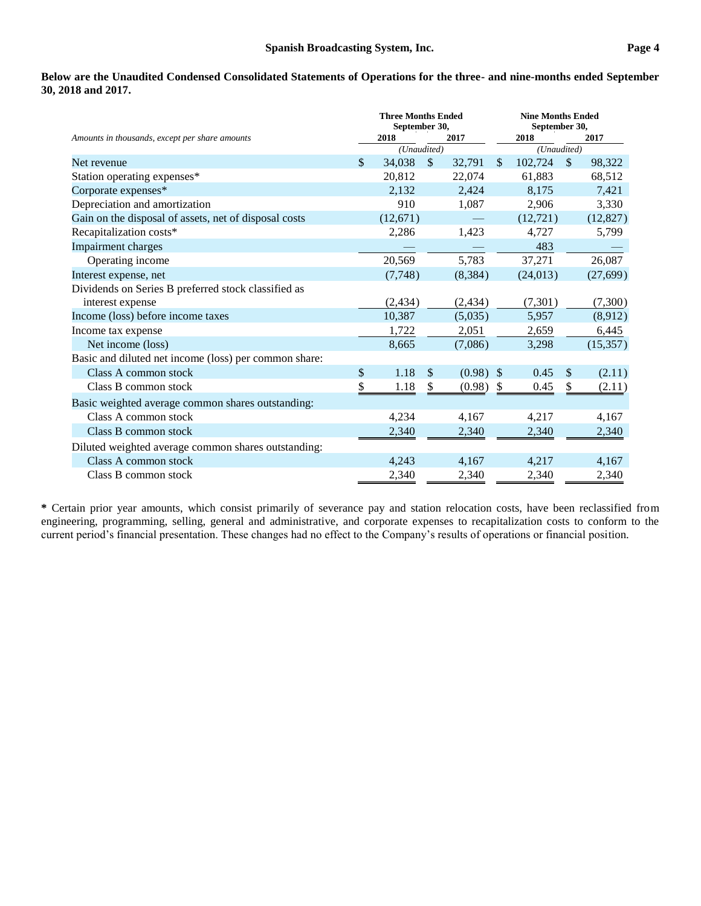**Below are the Unaudited Condensed Consolidated Statements of Operations for the three- and nine-months ended September 30, 2018 and 2017.**

|                                                       | <b>Three Months Ended</b><br>September 30, |             |               |          | <b>Nine Months Ended</b><br>September 30, |             |              |           |
|-------------------------------------------------------|--------------------------------------------|-------------|---------------|----------|-------------------------------------------|-------------|--------------|-----------|
| Amounts in thousands, except per share amounts        |                                            | 2018        |               | 2017     |                                           | 2018        |              | 2017      |
|                                                       |                                            | (Unaudited) |               |          |                                           | (Unaudited) |              |           |
| Net revenue                                           | \$                                         | 34,038      | $\mathcal{S}$ | 32,791   | $\mathbb{S}$                              | 102.724     | $\mathbb{S}$ | 98,322    |
| Station operating expenses*                           |                                            | 20.812      |               | 22,074   |                                           | 61,883      |              | 68,512    |
| Corporate expenses*                                   |                                            | 2,132       |               | 2,424    |                                           | 8,175       |              | 7,421     |
| Depreciation and amortization                         |                                            | 910         |               | 1,087    |                                           | 2,906       |              | 3,330     |
| Gain on the disposal of assets, net of disposal costs |                                            | (12,671)    |               |          |                                           | (12, 721)   |              | (12, 827) |
| Recapitalization costs*                               |                                            | 2,286       |               | 1,423    |                                           | 4,727       |              | 5,799     |
| Impairment charges                                    |                                            |             |               |          |                                           | 483         |              |           |
| Operating income                                      |                                            | 20,569      |               | 5,783    |                                           | 37,271      |              | 26,087    |
| Interest expense, net                                 |                                            | (7,748)     |               | (8, 384) |                                           | (24, 013)   |              | (27, 699) |
| Dividends on Series B preferred stock classified as   |                                            |             |               |          |                                           |             |              |           |
| interest expense                                      |                                            | (2, 434)    |               | (2, 434) |                                           | (7,301)     |              | (7,300)   |
| Income (loss) before income taxes                     |                                            | 10,387      |               | (5,035)  |                                           | 5,957       |              | (8,912)   |
| Income tax expense                                    |                                            | 1,722       |               | 2,051    |                                           | 2,659       |              | 6,445     |
| Net income (loss)                                     |                                            | 8,665       |               | (7,086)  |                                           | 3,298       |              | (15, 357) |
| Basic and diluted net income (loss) per common share: |                                            |             |               |          |                                           |             |              |           |
| Class A common stock                                  | $\mathcal{S}$                              | 1.18        | $\mathcal{S}$ | (0.98)   | - \$                                      | 0.45        | \$           | (2.11)    |
| Class B common stock                                  | \$                                         | 1.18        | \$            | (0.98)   | <sup>\$</sup>                             | 0.45        | \$           | (2.11)    |
| Basic weighted average common shares outstanding:     |                                            |             |               |          |                                           |             |              |           |
| Class A common stock                                  |                                            | 4,234       |               | 4,167    |                                           | 4,217       |              | 4,167     |
| Class B common stock                                  |                                            | 2,340       |               | 2,340    |                                           | 2,340       |              | 2,340     |
| Diluted weighted average common shares outstanding:   |                                            |             |               |          |                                           |             |              |           |
| Class A common stock                                  |                                            | 4,243       |               | 4,167    |                                           | 4,217       |              | 4,167     |
| Class B common stock                                  |                                            | 2,340       |               | 2,340    |                                           | 2,340       |              | 2,340     |

**\*** Certain prior year amounts, which consist primarily of severance pay and station relocation costs, have been reclassified from engineering, programming, selling, general and administrative, and corporate expenses to recapitalization costs to conform to the current period's financial presentation. These changes had no effect to the Company's results of operations or financial position.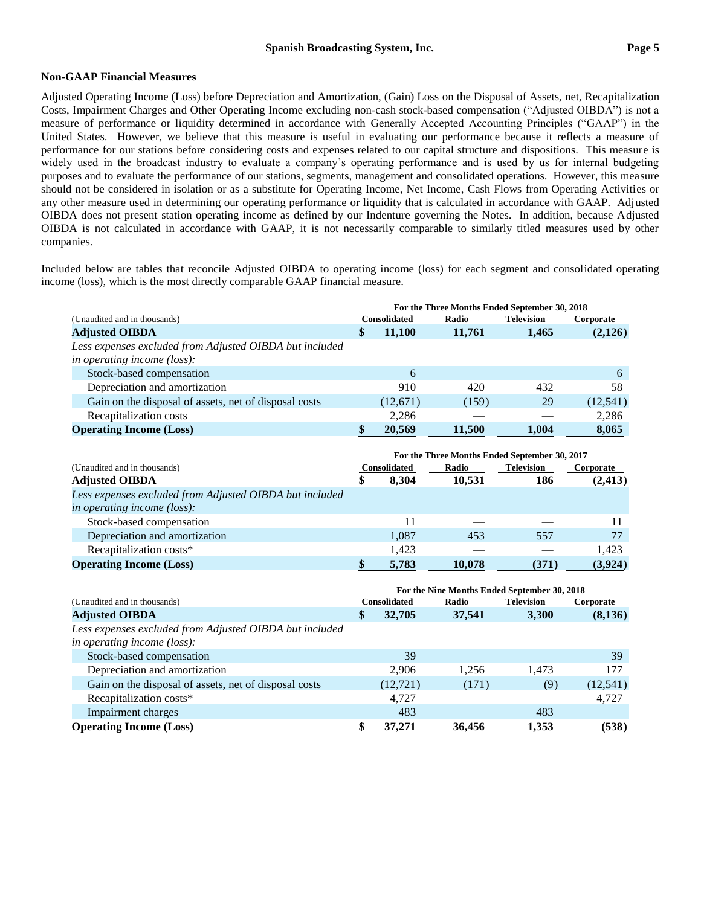## **Non-GAAP Financial Measures**

Adjusted Operating Income (Loss) before Depreciation and Amortization, (Gain) Loss on the Disposal of Assets, net, Recapitalization Costs, Impairment Charges and Other Operating Income excluding non-cash stock-based compensation ("Adjusted OIBDA") is not a measure of performance or liquidity determined in accordance with Generally Accepted Accounting Principles ("GAAP") in the United States. However, we believe that this measure is useful in evaluating our performance because it reflects a measure of performance for our stations before considering costs and expenses related to our capital structure and dispositions. This measure is widely used in the broadcast industry to evaluate a company's operating performance and is used by us for internal budgeting purposes and to evaluate the performance of our stations, segments, management and consolidated operations. However, this measure should not be considered in isolation or as a substitute for Operating Income, Net Income, Cash Flows from Operating Activities or any other measure used in determining our operating performance or liquidity that is calculated in accordance with GAAP. Adjusted OIBDA does not present station operating income as defined by our Indenture governing the Notes. In addition, because Adjusted OIBDA is not calculated in accordance with GAAP, it is not necessarily comparable to similarly titled measures used by other companies.

Included below are tables that reconcile Adjusted OIBDA to operating income (loss) for each segment and consolidated operating income (loss), which is the most directly comparable GAAP financial measure.

|                                                         |                                              |                     |        | For the Three Months Ended September 30, 2018 |           |  |
|---------------------------------------------------------|----------------------------------------------|---------------------|--------|-----------------------------------------------|-----------|--|
| (Unaudited and in thousands)                            |                                              | <b>Consolidated</b> | Radio  | <b>Television</b>                             | Corporate |  |
| <b>Adjusted OIBDA</b>                                   | \$                                           | 11,100              | 11,761 | 1,465                                         | (2,126)   |  |
| Less expenses excluded from Adjusted OIBDA but included |                                              |                     |        |                                               |           |  |
| in operating income (loss):                             |                                              |                     |        |                                               |           |  |
| Stock-based compensation                                |                                              | 6                   |        |                                               | 6         |  |
| Depreciation and amortization                           |                                              | 910                 | 420    | 432                                           | 58        |  |
| Gain on the disposal of assets, net of disposal costs   |                                              | (12,671)            | (159)  | 29                                            | (12, 541) |  |
| Recapitalization costs                                  |                                              | 2,286               |        |                                               | 2,286     |  |
| <b>Operating Income (Loss)</b>                          | \$                                           | 20,569              | 11,500 | 1,004                                         | 8,065     |  |
|                                                         |                                              |                     |        |                                               |           |  |
|                                                         |                                              |                     |        | For the Three Months Ended September 30, 2017 |           |  |
| (Unaudited and in thousands)                            |                                              | Consolidated        | Radio  | <b>Television</b>                             | Corporate |  |
| <b>Adjusted OIBDA</b>                                   | \$                                           | 8,304               | 10,531 | 186                                           | (2, 413)  |  |
| Less expenses excluded from Adjusted OIBDA but included |                                              |                     |        |                                               |           |  |
| in operating income (loss):                             |                                              |                     |        |                                               |           |  |
| Stock-based compensation                                |                                              | 11                  |        |                                               | 11        |  |
| Depreciation and amortization                           |                                              | 1,087               | 453    | 557                                           | 77        |  |
| Recapitalization costs*                                 |                                              | 1,423               |        |                                               | 1,423     |  |
| <b>Operating Income (Loss)</b>                          | \$                                           | 5,783               | 10,078 | (371)                                         | (3,924)   |  |
|                                                         | For the Nine Months Ended September 30, 2018 |                     |        |                                               |           |  |
| (Unaudited and in thousands)                            |                                              | <b>Consolidated</b> | Radio  | <b>Television</b>                             | Corporate |  |
| <b>Adjusted OIBDA</b>                                   | \$                                           | 32,705              | 37,541 | 3,300                                         | (8,136)   |  |
| Less expenses excluded from Adjusted OIBDA but included |                                              |                     |        |                                               |           |  |
| in operating income (loss):                             |                                              |                     |        |                                               |           |  |
| Stock-based compensation                                |                                              | 39                  |        |                                               | 39        |  |
| Depreciation and amortization                           |                                              | 2,906               | 1,256  | 1,473                                         | 177       |  |
| Gain on the disposal of assets, net of disposal costs   |                                              | (12, 721)           | (171)  | (9)                                           | (12, 541) |  |
| Recapitalization costs*                                 |                                              | 4,727               |        |                                               | 4,727     |  |
| Impairment charges                                      |                                              | 483                 |        | 483                                           |           |  |
| <b>Operating Income (Loss)</b>                          | \$                                           | 37,271              | 36,456 | 1,353                                         | (538)     |  |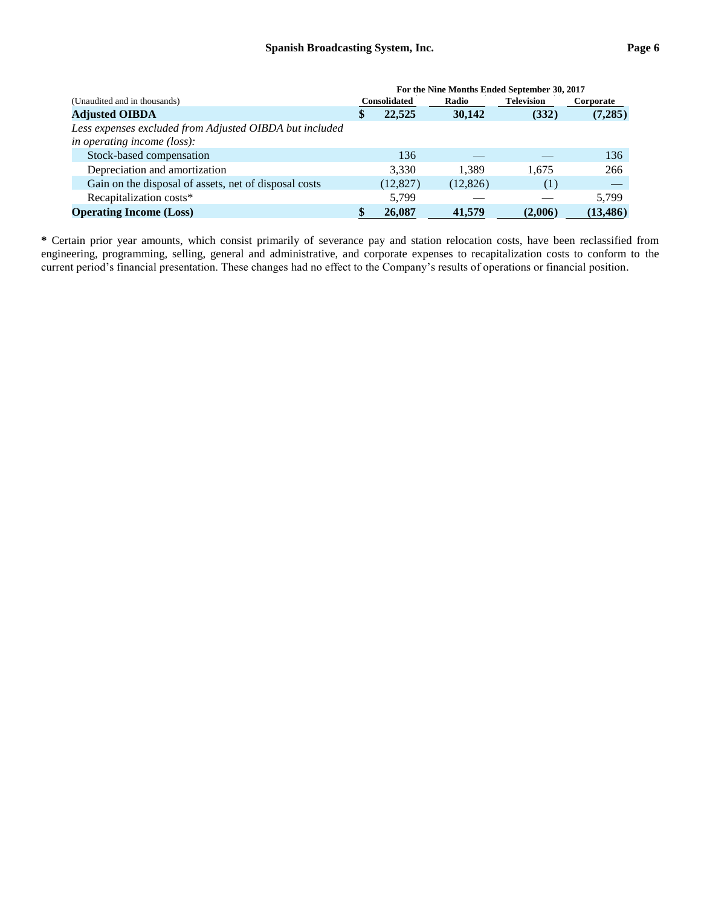|                                                                                               | For the Nine Months Ended September 30, 2017 |                     |          |                   |           |  |
|-----------------------------------------------------------------------------------------------|----------------------------------------------|---------------------|----------|-------------------|-----------|--|
| (Unaudited and in thousands)                                                                  |                                              | <b>Consolidated</b> | Radio    | <b>Television</b> | Corporate |  |
| <b>Adjusted OIBDA</b>                                                                         | S                                            | 22,525              | 30.142   | (332)             | (7,285)   |  |
| Less expenses excluded from Adjusted OIBDA but included<br><i>in operating income (loss):</i> |                                              |                     |          |                   |           |  |
| Stock-based compensation                                                                      |                                              | 136                 |          |                   | 136       |  |
|                                                                                               |                                              |                     |          |                   |           |  |
| Depreciation and amortization                                                                 |                                              | 3,330               | 1.389    | 1.675             | 266       |  |
| Gain on the disposal of assets, net of disposal costs                                         |                                              | (12, 827)           | (12,826) | (1)               |           |  |
| Recapitalization costs*                                                                       |                                              | 5,799               |          |                   | 5,799     |  |
| <b>Operating Income (Loss)</b>                                                                |                                              | 26,087              | 41,579   | (2.006)           | (13, 486) |  |

**\*** Certain prior year amounts, which consist primarily of severance pay and station relocation costs, have been reclassified from engineering, programming, selling, general and administrative, and corporate expenses to recapitalization costs to conform to the current period's financial presentation. These changes had no effect to the Company's results of operations or financial position.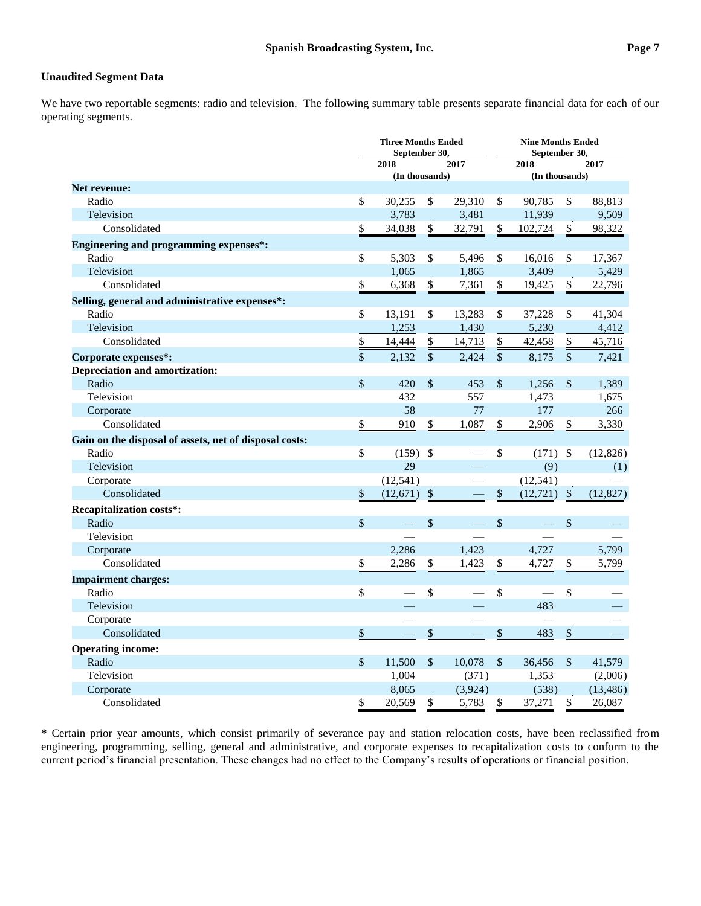# **Unaudited Segment Data**

We have two reportable segments: radio and television. The following summary table presents separate financial data for each of our operating segments.

| September 30,                                                                                               | <b>Nine Months Ended</b><br>September 30, |  |  |  |
|-------------------------------------------------------------------------------------------------------------|-------------------------------------------|--|--|--|
| 2017<br>2018<br>2018                                                                                        | 2017                                      |  |  |  |
| (In thousands)<br>(In thousands)                                                                            |                                           |  |  |  |
| <b>Net revenue:</b>                                                                                         |                                           |  |  |  |
| \$<br>Radio<br>30,255<br>\$<br>29,310<br>\$<br>90,785<br>\$                                                 | 88,813                                    |  |  |  |
| Television<br>3,783<br>3,481<br>11,939                                                                      | 9,509                                     |  |  |  |
| \$<br>Consolidated<br>\$<br>34,038<br>\$<br>32,791<br>102,724<br>\$                                         | 98,322                                    |  |  |  |
| <b>Engineering and programming expenses*:</b>                                                               |                                           |  |  |  |
| $\mathbb{S}$<br>Radio<br>5,303<br>\$<br>5,496<br>\$<br>16,016<br>\$                                         | 17,367                                    |  |  |  |
| Television<br>1,065<br>1,865<br>3,409                                                                       | 5,429                                     |  |  |  |
| \$<br>\$<br>\$<br>\$<br>Consolidated<br>6,368<br>7,361<br>19,425                                            | 22,796                                    |  |  |  |
| Selling, general and administrative expenses*:                                                              |                                           |  |  |  |
| Radio<br>\$<br>13,191<br>\$<br>13,283<br>\$<br>37,228<br>\$                                                 | 41,304                                    |  |  |  |
| Television<br>1,253<br>1,430<br>5,230                                                                       | 4,412                                     |  |  |  |
| Consolidated<br>$\frac{1}{2}$<br>14,444<br>\$<br>42,458<br>\$<br>14,713<br>$\frac{1}{2}$                    | 45,716                                    |  |  |  |
| $\mathbf{\hat{S}}$<br>2,132<br>$\sqrt{\ }$<br>2,424<br>$\mathcal{S}$<br>8,175<br>\$<br>Corporate expenses*: | 7,421                                     |  |  |  |
| <b>Depreciation and amortization:</b>                                                                       |                                           |  |  |  |
| \$<br>\$<br>\$<br>Radio<br>420<br>453<br>1,256<br>$\boldsymbol{\mathsf{S}}$                                 | 1,389                                     |  |  |  |
| Television<br>432<br>557<br>1,473                                                                           | 1,675                                     |  |  |  |
| 58<br>77<br>177<br>Corporate                                                                                | 266                                       |  |  |  |
| \$<br>\$<br>\$<br>Consolidated<br>910<br>1,087<br>2,906<br>\$                                               | 3,330                                     |  |  |  |
| Gain on the disposal of assets, net of disposal costs:                                                      |                                           |  |  |  |
| Radio<br>\$<br>$(159)$ \$<br>\$<br>(171)<br>$\mathbb{S}$                                                    | (12, 826)                                 |  |  |  |
| 29<br>Television<br>(9)                                                                                     | (1)                                       |  |  |  |
| (12, 541)<br>(12, 541)<br>Corporate                                                                         |                                           |  |  |  |
| \$<br>\$<br>Consolidated<br>(12,671)<br>$\$$<br>\$<br>(12, 721)                                             | (12, 827)                                 |  |  |  |
| <b>Recapitalization costs*:</b>                                                                             |                                           |  |  |  |
| $\mathcal{S}$<br>\$<br>\$<br>\$<br>Radio                                                                    |                                           |  |  |  |
| Television                                                                                                  |                                           |  |  |  |
| 1,423<br>2,286<br>4,727<br>Corporate                                                                        | 5,799                                     |  |  |  |
| \$<br>Consolidated<br>2,286<br>\$<br>1,423<br>\$<br>\$<br>4,727                                             | 5,799                                     |  |  |  |
| <b>Impairment charges:</b>                                                                                  |                                           |  |  |  |
| \$<br>\$<br>\$<br>\$<br>Radio                                                                               |                                           |  |  |  |
| 483<br>Television                                                                                           |                                           |  |  |  |
| Corporate                                                                                                   |                                           |  |  |  |
| \$<br>\$<br>\$<br>483<br>\$<br>Consolidated                                                                 |                                           |  |  |  |
| <b>Operating income:</b>                                                                                    |                                           |  |  |  |
| $\mathbb{S}$<br>Radio<br>$\mathbb{S}$<br>10.078<br>$\mathcal{S}$<br>$\mathcal{S}$<br>11,500<br>36,456       | 41.579                                    |  |  |  |
| Television<br>1,004<br>(371)<br>1,353                                                                       | (2,006)                                   |  |  |  |
| 8,065<br>(3,924)<br>(538)<br>Corporate                                                                      | (13, 486)                                 |  |  |  |
| \$<br>\$<br>\$<br>\$<br>Consolidated<br>20,569<br>5,783<br>37,271                                           | 26,087                                    |  |  |  |

**\*** Certain prior year amounts, which consist primarily of severance pay and station relocation costs, have been reclassified from engineering, programming, selling, general and administrative, and corporate expenses to recapitalization costs to conform to the current period's financial presentation. These changes had no effect to the Company's results of operations or financial position.